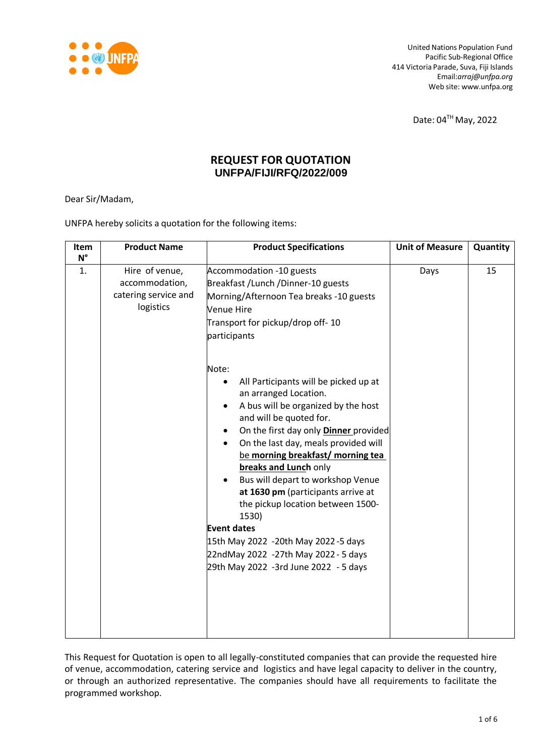

United Nations Population Fund Pacific Sub-Regional Office 414 Victoria Parade, Suva, Fiji Islands Email:*[arraj@unfpa.org](mailto:arraj@unfpa.org)* Web site: [www.unfpa.org](http://www.unfpa.org/)

Date: 04TH May, 2022

## **REQUEST FOR QUOTATION UNFPA/FIJI/RFQ/2022/009**

Dear Sir/Madam,

UNFPA hereby solicits a quotation for the following items:

| Item<br>$N^{\circ}$ | <b>Product Name</b>                                                   | <b>Product Specifications</b>                                                                                                                                                                                                                                                                                                                                                                                                                                                                                                                                                       | <b>Unit of Measure</b> | Quantity |
|---------------------|-----------------------------------------------------------------------|-------------------------------------------------------------------------------------------------------------------------------------------------------------------------------------------------------------------------------------------------------------------------------------------------------------------------------------------------------------------------------------------------------------------------------------------------------------------------------------------------------------------------------------------------------------------------------------|------------------------|----------|
| 1.                  | Hire of venue,<br>accommodation,<br>catering service and<br>logistics | Accommodation -10 guests<br>Breakfast / Lunch / Dinner-10 guests<br>Morning/Afternoon Tea breaks -10 guests<br><b>Venue Hire</b><br>Transport for pickup/drop off-10<br>participants                                                                                                                                                                                                                                                                                                                                                                                                | Days                   | 15       |
|                     |                                                                       | Note:<br>All Participants will be picked up at<br>$\bullet$<br>an arranged Location.<br>A bus will be organized by the host<br>and will be quoted for.<br>On the first day only <b>Dinner</b> provided<br>On the last day, meals provided will<br>be morning breakfast/ morning tea<br>breaks and Lunch only<br>Bus will depart to workshop Venue<br>at 1630 pm (participants arrive at<br>the pickup location between 1500-<br>1530)<br><b>Event dates</b><br>15th May 2022 -20th May 2022-5 days<br>22ndMay 2022 -27th May 2022 - 5 days<br>29th May 2022 -3rd June 2022 - 5 days |                        |          |

This Request for Quotation is open to all legally-constituted companies that can provide the requested hire of venue, accommodation, catering service and logistics and have legal capacity to deliver in the country, or through an authorized representative. The companies should have all requirements to facilitate the programmed workshop.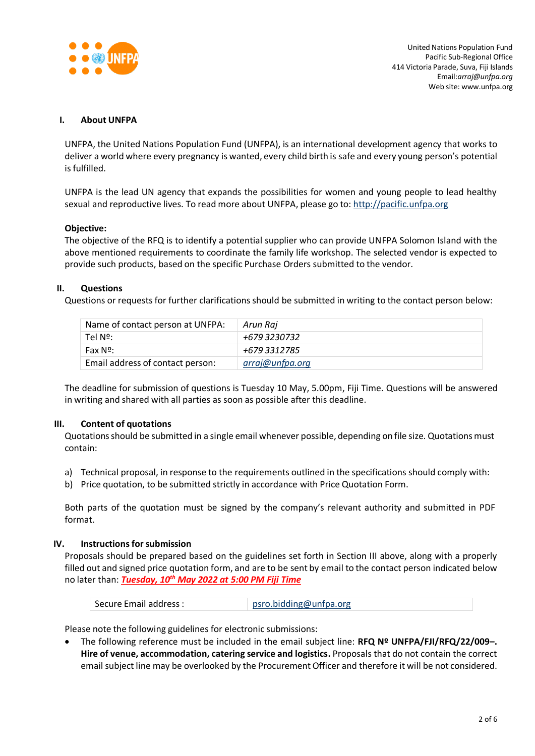

United Nations Population Fund Pacific Sub-Regional Office 414 Victoria Parade, Suva, Fiji Islands Email:*[arraj@unfpa.org](mailto:arraj@unfpa.org)* Web site: [www.unfpa.org](http://www.unfpa.org/)

#### **I. About UNFPA**

UNFPA, the United Nations Population Fund (UNFPA), is an international development agency that works to deliver a world where every pregnancy is wanted, every child birth is safe and every young person's potential is fulfilled.

UNFPA is the lead UN agency that expands the possibilities for women and young people to lead healthy sexual and reproductive lives. To read more about UNFPA, please go to: [http://pacific.unfpa.org](http://pacific.unfpa.org/)

#### **Objective:**

The objective of the RFQ is to identify a potential supplier who can provide UNFPA Solomon Island with the above mentioned requirements to coordinate the family life workshop. The selected vendor is expected to provide such products, based on the specific Purchase Orders submitted to the vendor.

## **II. Questions**

Questions or requests for further clarifications should be submitted in writing to the contact person below:

| Name of contact person at UNFPA: | Arun Raj        |
|----------------------------------|-----------------|
| Tel Nº:                          | +679 3230732    |
| <b>Fax Nº:</b>                   | +679 3312785    |
| Email address of contact person: | arraj@unfpa.org |

The deadline for submission of questions is Tuesday 10 May, 5.00pm, Fiji Time. Questions will be answered in writing and shared with all parties as soon as possible after this deadline.

## **III. Content of quotations**

Quotations should be submitted in a single email whenever possible, depending on file size. Quotations must contain:

- a) Technical proposal, in response to the requirements outlined in the specifications should comply with:
- b) Price quotation, to be submitted strictly in accordance with Price Quotation Form.

Both parts of the quotation must be signed by the company's relevant authority and submitted in PDF format.

## **IV.** Instructions for submission

Proposals should be prepared based on the guidelines set forth in Section III above, along with a properly filled out and signed price quotation form, and are to be sent by email to the contact person indicated below no later than: *Tuesday, 10th May 2022 at 5:00 PM Fiji Time*

| Secure Email address : | psro.bidding@unfpa.org |
|------------------------|------------------------|
|------------------------|------------------------|

Please note the following guidelines for electronic submissions:

 The following reference must be included in the email subject line: **RFQ Nº UNFPA/FJI/RFQ/22/009–. Hire of venue, accommodation, catering service and logistics.** Proposals that do not contain the correct email subject line may be overlooked by the Procurement Officer and therefore it will be not considered.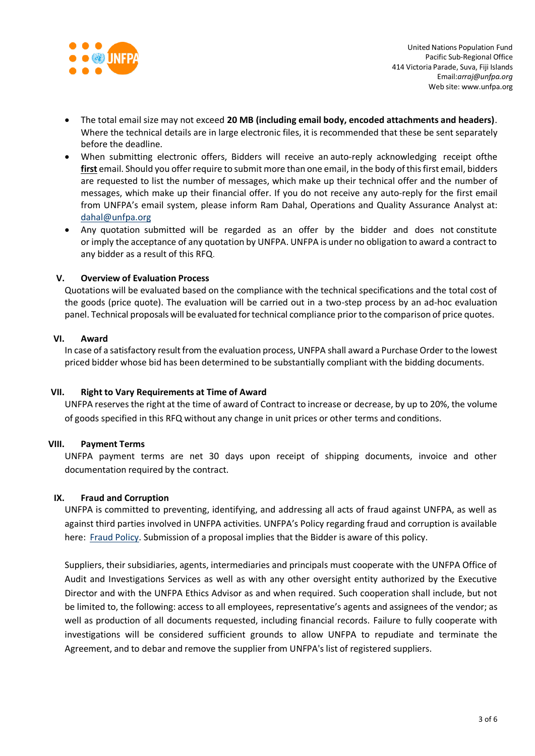

- The total email size may not exceed **20 MB (including email body, encoded attachments and headers)**. Where the technical details are in large electronic files, it is recommended that these be sent separately before the deadline.
- When submitting electronic offers, Bidders will receive an auto-reply acknowledging receipt ofthe **first** email. Should you offer require to submit more than one email, in the body of this first email, bidders are requested to list the number of messages, which make up their technical offer and the number of messages, which make up their financial offer. If you do not receive any auto-reply for the first email from UNFPA's email system, please inform Ram Dahal, Operations and Quality Assurance Analyst at: [dahal@unfpa.org](mailto:dahal@unfpa.org)
- Any quotation submitted will be regarded as an offer by the bidder and does not constitute or imply the acceptance of any quotation by UNFPA. UNFPA is under no obligation to award a contract to any bidder as a result of this RFQ.

## **V. Overview of Evaluation Process**

Quotations will be evaluated based on the compliance with the technical specifications and the total cost of the goods (price quote). The evaluation will be carried out in a two-step process by an ad-hoc evaluation panel. Technical proposals will be evaluated fortechnical compliance prior to the comparison of price quotes.

## **VI. Award**

In case of a satisfactory result from the evaluation process, UNFPA shall award a Purchase Order to the lowest priced bidder whose bid has been determined to be substantially compliant with the bidding documents.

## **VII. Right to Vary Requirements at Time of Award**

UNFPA reserves the right at the time of award of Contract to increase or decrease, by up to 20%, the volume of goods specified in this RFQ without any change in unit prices or other terms and conditions.

## **VIII. Payment Terms**

UNFPA payment terms are net 30 days upon receipt of shipping documents, invoice and other documentation required by the contract.

## **IX. Fraud and [Corruption](http://www.unfpa.org/about-procurement#FraudCorruption)**

UNFPA is committed to preventing, identifying, and addressing all acts of fraud against UNFPA, as well as against third parties involved in UNFPA activities. UNFPA's Policy regarding fraud and corruption is available here: Fraud [Policy.](http://www.unfpa.org/resources/fraud-policy-2009%23overlay-context%3Dnode/10356/draft) Submission of a proposal implies that the Bidder is aware of this policy.

Suppliers, their subsidiaries, agents, intermediaries and principals must cooperate with the UNFPA Office of Audit and Investigations Services as well as with any other oversight entity authorized by the Executive Director and with the UNFPA Ethics Advisor as and when required. Such cooperation shall include, but not be limited to, the following: access to all employees, representative's agents and assignees of the vendor; as well as production of all documents requested, including financial records. Failure to fully cooperate with investigations will be considered sufficient grounds to allow UNFPA to repudiate and terminate the Agreement, and to debar and remove the supplier from UNFPA's list of registered suppliers.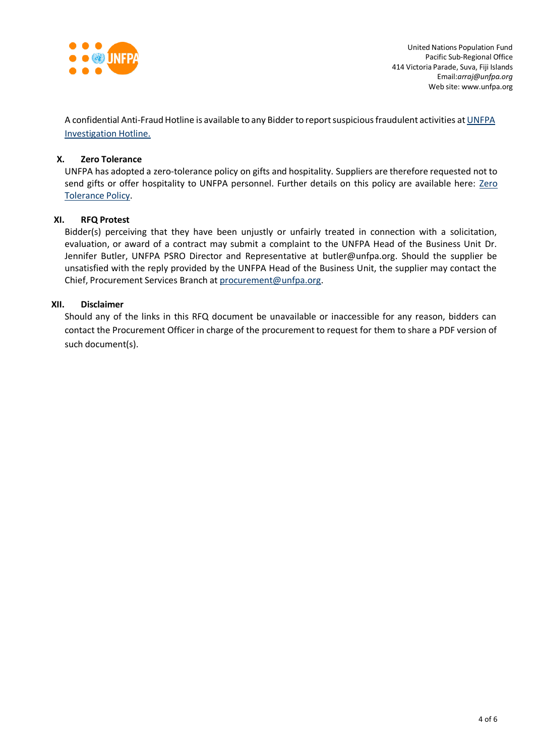

A confidential Anti-Fraud Hotline is available to any Bidder to report suspicious fraudulent activities at [UNFPA](http://web2.unfpa.org/help/hotline.cfm) [Investigation](http://web2.unfpa.org/help/hotline.cfm) Hotline.

## **X. Zero Tolerance**

UNFPA has adopted a zero-tolerance policy on gifts and hospitality. Suppliers are therefore requested not to send gifts or offer hospitality to UNFPA personnel. Further details on this policy are available here: [Zero](http://www.unfpa.org/about-procurement#ZeroTolerance) [Tolerance](http://www.unfpa.org/about-procurement#ZeroTolerance) Policy.

## **XI. RFQ Protest**

Bidder(s) perceiving that they have been unjustly or unfairly treated in connection with a solicitation, evaluation, or award of a contract may submit a complaint to the UNFPA Head of the Business Unit Dr. Jennifer Butler, UNFPA PSRO Director and Representative at [butler@unfpa.org.](mailto:butler@unfpa.org) Should the supplier be unsatisfied with the reply provided by the UNFPA Head of the Business Unit, the supplier may contact the Chief, Procurement Services Branch at [procurement@unfpa.org.](mailto:procurement@unfpa.org)

## **XII. Disclaimer**

Should any of the links in this RFQ document be unavailable or inaccessible for any reason, bidders can contact the Procurement Officer in charge of the procurement to request for them to share a PDF version of such document(s).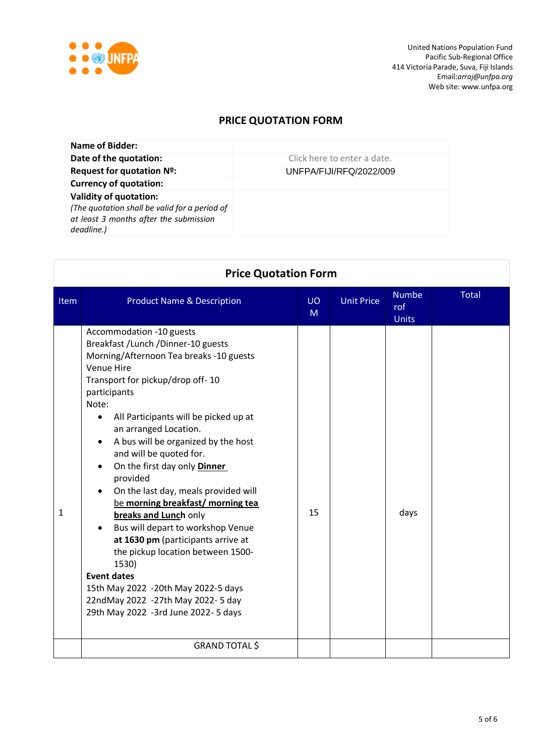

United Nations Population Fund Pacific Sub-Regional Office 414 Victoria Parade, Suva, Fiji Islands Email:*[arraj@unfpa.org](mailto:arraj@unfpa.org)* Web site: [www.unfpa.org](http://www.unfpa.org/)

# **PRICE QUOTATION FORM**

| Name of Bidder:                                                                                                                        |                             |
|----------------------------------------------------------------------------------------------------------------------------------------|-----------------------------|
| Date of the quotation:                                                                                                                 | Click here to enter a date. |
| Request for quotation Nº:                                                                                                              | UNFPA/FIJI/RFQ/2022/009     |
| <b>Currency of quotation:</b>                                                                                                          |                             |
| <b>Validity of quotation:</b><br>(The quotation shall be valid for a period of<br>at least 3 months after the submission<br>deadline.) |                             |

| <b>Price Quotation Form</b> |                                                                                                                                                                                                                                                                                                                                                                                                                                                                                                                                                                                                                                                                                                                                                             |         |                   |                                     |       |
|-----------------------------|-------------------------------------------------------------------------------------------------------------------------------------------------------------------------------------------------------------------------------------------------------------------------------------------------------------------------------------------------------------------------------------------------------------------------------------------------------------------------------------------------------------------------------------------------------------------------------------------------------------------------------------------------------------------------------------------------------------------------------------------------------------|---------|-------------------|-------------------------------------|-------|
| Item                        | <b>Product Name &amp; Description</b>                                                                                                                                                                                                                                                                                                                                                                                                                                                                                                                                                                                                                                                                                                                       | UO<br>M | <b>Unit Price</b> | <b>Numbe</b><br>rof<br><b>Units</b> | Total |
| $\mathbf{1}$                | Accommodation -10 guests<br>Breakfast / Lunch / Dinner-10 guests<br>Morning/Afternoon Tea breaks -10 guests<br>Venue Hire<br>Transport for pickup/drop off-10<br>participants<br>Note:<br>All Participants will be picked up at<br>$\bullet$<br>an arranged Location.<br>A bus will be organized by the host<br>and will be quoted for.<br>On the first day only Dinner<br>provided<br>On the last day, meals provided will<br>be morning breakfast/ morning tea<br>breaks and Lunch only<br>Bus will depart to workshop Venue<br>at 1630 pm (participants arrive at<br>the pickup location between 1500-<br>1530)<br><b>Event dates</b><br>15th May 2022 -20th May 2022-5 days<br>22ndMay 2022 -27th May 2022-5 day<br>29th May 2022 -3rd June 2022-5 days | 15      |                   | days                                |       |
|                             | <b>GRAND TOTAL \$</b>                                                                                                                                                                                                                                                                                                                                                                                                                                                                                                                                                                                                                                                                                                                                       |         |                   |                                     |       |